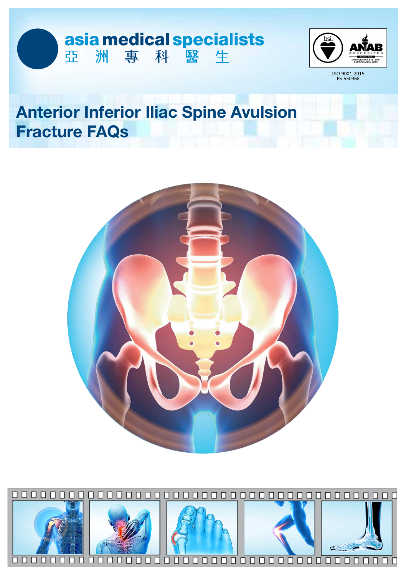



ISO 9001:2015<br>FS 550968

# **Anterior Inferior Iliac Spine Avulsion Fracture FAQs**



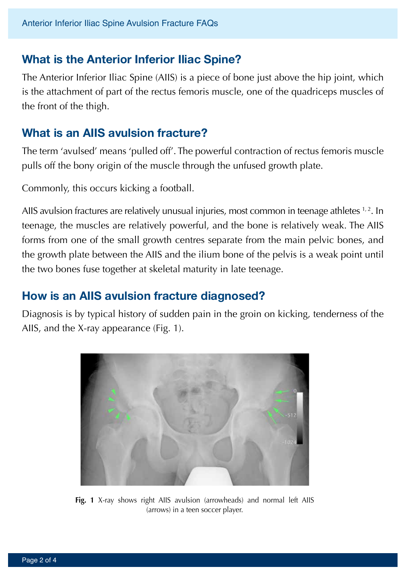## **What is the Anterior Inferior Iliac Spine?**

The Anterior Inferior Iliac Spine (AIIS) is a piece of bone just above the hip joint, which is the attachment of part of the rectus femoris muscle, one of the quadriceps muscles of the front of the thigh.

## **What is an AIIS avulsion fracture?**

The term 'avulsed' means 'pulled off'. The powerful contraction of rectus femoris muscle pulls off the bony origin of the muscle through the unfused growth plate.

Commonly, this occurs kicking a football.

AIIS avulsion fractures are relatively unusual injuries, most common in teenage athletes  $1,2$ . In teenage, the muscles are relatively powerful, and the bone is relatively weak. The AIIS forms from one of the small growth centres separate from the main pelvic bones, and the growth plate between the AIIS and the ilium bone of the pelvis is a weak point until the two bones fuse together at skeletal maturity in late teenage.

## **How is an AIIS avulsion fracture diagnosed?**

Diagnosis is by typical history of sudden pain in the groin on kicking, tenderness of the AIIS, and the X-ray appearance (Fig. 1).



Fig. 1 X-ray shows right AIIS avulsion (arrowheads) and normal left AIIS (arrows) in a teen soccer player.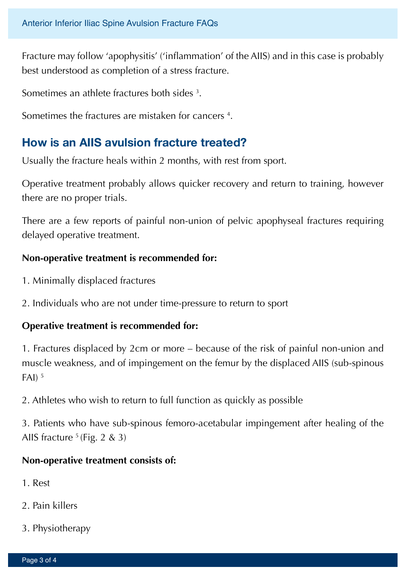Fracture may follow 'apophysitis' ('inflammation' of the AIIS) and in this case is probably best understood as completion of a stress fracture.

Sometimes an athlete fractures both sides  $^3$ .

Sometimes the fractures are mistaken for cancers 4 .

## **How is an AIIS avulsion fracture treated?**

Usually the fracture heals within 2 months, with rest from sport.

Operative treatment probably allows quicker recovery and return to training, however there are no proper trials.

There are a few reports of painful non-union of pelvic apophyseal fractures requiring delayed operative treatment.

#### **Non-operative treatment is recommended for:**

- 1. Minimally displaced fractures
- 2. Individuals who are not under time-pressure to return to sport

#### **Operative treatment is recommended for:**

1. Fractures displaced by 2cm or more – because of the risk of painful non-union and muscle weakness, and of impingement on the femur by the displaced AIIS (sub-spinous  $FAI$ )  $5$ 

2. Athletes who wish to return to full function as quickly as possible

3. Patients who have sub-spinous femoro-acetabular impingement after healing of the AIIS fracture  $5$  (Fig. 2 & 3)

#### **Non-operative treatment consists of:**

- 1. Rest
- 2. Pain killers
- 3. Physiotherapy